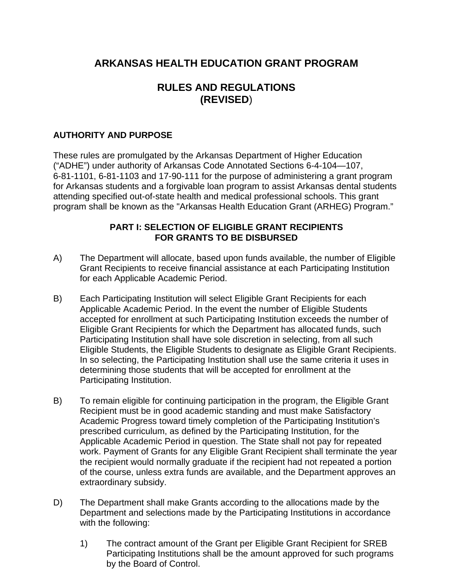# **ARKANSAS HEALTH EDUCATION GRANT PROGRAM**

# **RULES AND REGULATIONS (REVISED**)

## **AUTHORITY AND PURPOSE**

These rules are promulgated by the Arkansas Department of Higher Education ("ADHE") under authority of Arkansas Code Annotated Sections 6-4-104—107, 6-81-1101, 6-81-1103 and 17-90-111 for the purpose of administering a grant program for Arkansas students and a forgivable loan program to assist Arkansas dental students attending specified out-of-state health and medical professional schools. This grant program shall be known as the "Arkansas Health Education Grant (ARHEG) Program."

## **PART I: SELECTION OF ELIGIBLE GRANT RECIPIENTS FOR GRANTS TO BE DISBURSED**

- A) The Department will allocate, based upon funds available, the number of Eligible Grant Recipients to receive financial assistance at each Participating Institution for each Applicable Academic Period.
- B) Each Participating Institution will select Eligible Grant Recipients for each Applicable Academic Period. In the event the number of Eligible Students accepted for enrollment at such Participating Institution exceeds the number of Eligible Grant Recipients for which the Department has allocated funds, such Participating Institution shall have sole discretion in selecting, from all such Eligible Students, the Eligible Students to designate as Eligible Grant Recipients. In so selecting, the Participating Institution shall use the same criteria it uses in determining those students that will be accepted for enrollment at the Participating Institution.
- B) To remain eligible for continuing participation in the program, the Eligible Grant Recipient must be in good academic standing and must make Satisfactory Academic Progress toward timely completion of the Participating Institution's prescribed curriculum, as defined by the Participating Institution, for the Applicable Academic Period in question. The State shall not pay for repeated work. Payment of Grants for any Eligible Grant Recipient shall terminate the year the recipient would normally graduate if the recipient had not repeated a portion of the course, unless extra funds are available, and the Department approves an extraordinary subsidy.
- D) The Department shall make Grants according to the allocations made by the Department and selections made by the Participating Institutions in accordance with the following:
	- 1) The contract amount of the Grant per Eligible Grant Recipient for SREB Participating Institutions shall be the amount approved for such programs by the Board of Control.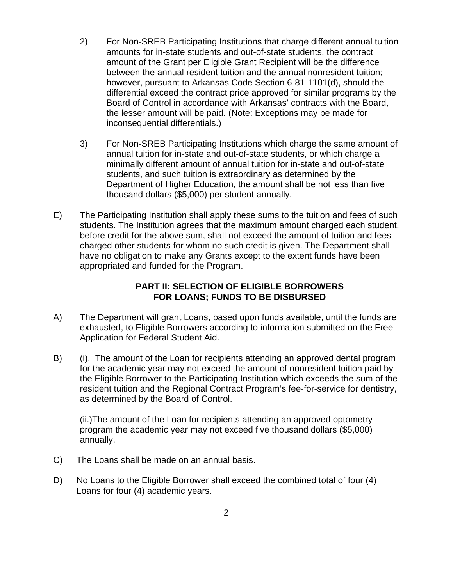- 2) For Non-SREB Participating Institutions that charge different annual tuition amounts for in-state students and out-of-state students, the contract amount of the Grant per Eligible Grant Recipient will be the difference between the annual resident tuition and the annual nonresident tuition; however, pursuant to Arkansas Code Section 6-81-1101(d), should the differential exceed the contract price approved for similar programs by the Board of Control in accordance with Arkansas' contracts with the Board, the lesser amount will be paid. (Note: Exceptions may be made for inconsequential differentials.)
- 3) For Non-SREB Participating Institutions which charge the same amount of annual tuition for in-state and out-of-state students, or which charge a minimally different amount of annual tuition for in-state and out-of-state students, and such tuition is extraordinary as determined by the Department of Higher Education, the amount shall be not less than five thousand dollars (\$5,000) per student annually.
- E) The Participating Institution shall apply these sums to the tuition and fees of such students. The Institution agrees that the maximum amount charged each student, before credit for the above sum, shall not exceed the amount of tuition and fees charged other students for whom no such credit is given. The Department shall have no obligation to make any Grants except to the extent funds have been appropriated and funded for the Program.

## **PART II: SELECTION OF ELIGIBLE BORROWERS FOR LOANS; FUNDS TO BE DISBURSED**

- A) The Department will grant Loans, based upon funds available, until the funds are exhausted, to Eligible Borrowers according to information submitted on the Free Application for Federal Student Aid.
- B) (i). The amount of the Loan for recipients attending an approved dental program for the academic year may not exceed the amount of nonresident tuition paid by the Eligible Borrower to the Participating Institution which exceeds the sum of the resident tuition and the Regional Contract Program's fee-for-service for dentistry, as determined by the Board of Control.

(ii.)The amount of the Loan for recipients attending an approved optometry program the academic year may not exceed five thousand dollars (\$5,000) annually.

- C) The Loans shall be made on an annual basis.
- D) No Loans to the Eligible Borrower shall exceed the combined total of four (4) Loans for four (4) academic years.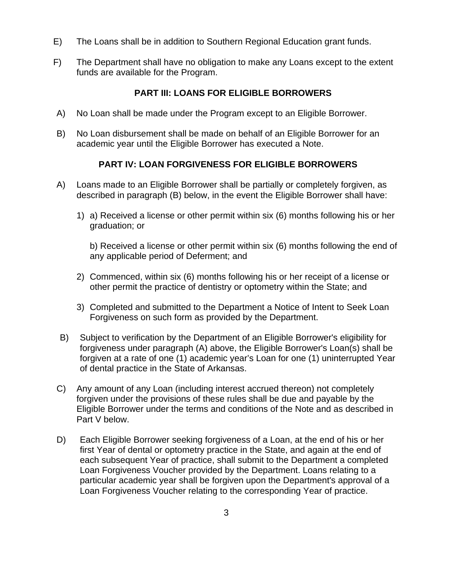- E) The Loans shall be in addition to Southern Regional Education grant funds.
- F) The Department shall have no obligation to make any Loans except to the extent funds are available for the Program.

## **PART III: LOANS FOR ELIGIBLE BORROWERS**

- A) No Loan shall be made under the Program except to an Eligible Borrower.
- B) No Loan disbursement shall be made on behalf of an Eligible Borrower for an academic year until the Eligible Borrower has executed a Note.

# **PART IV: LOAN FORGIVENESS FOR ELIGIBLE BORROWERS**

- A) Loans made to an Eligible Borrower shall be partially or completely forgiven, as described in paragraph (B) below, in the event the Eligible Borrower shall have:
	- 1) a) Received a license or other permit within six (6) months following his or her graduation; or

b) Received a license or other permit within six (6) months following the end of any applicable period of Deferment; and

- 2) Commenced, within six (6) months following his or her receipt of a license or other permit the practice of dentistry or optometry within the State; and
- 3) Completed and submitted to the Department a Notice of Intent to Seek Loan Forgiveness on such form as provided by the Department.
- B) Subject to verification by the Department of an Eligible Borrower's eligibility for forgiveness under paragraph (A) above, the Eligible Borrower's Loan(s) shall be forgiven at a rate of one (1) academic year's Loan for one (1) uninterrupted Year of dental practice in the State of Arkansas.
- C) Any amount of any Loan (including interest accrued thereon) not completely forgiven under the provisions of these rules shall be due and payable by the Eligible Borrower under the terms and conditions of the Note and as described in Part V below.
- D) Each Eligible Borrower seeking forgiveness of a Loan, at the end of his or her first Year of dental or optometry practice in the State, and again at the end of each subsequent Year of practice, shall submit to the Department a completed Loan Forgiveness Voucher provided by the Department. Loans relating to a particular academic year shall be forgiven upon the Department's approval of a Loan Forgiveness Voucher relating to the corresponding Year of practice.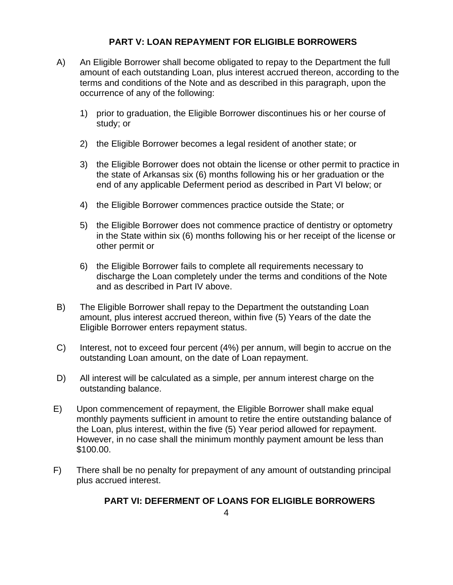## **PART V: LOAN REPAYMENT FOR ELIGIBLE BORROWERS**

- A) An Eligible Borrower shall become obligated to repay to the Department the full amount of each outstanding Loan, plus interest accrued thereon, according to the terms and conditions of the Note and as described in this paragraph, upon the occurrence of any of the following:
	- 1) prior to graduation, the Eligible Borrower discontinues his or her course of study; or
	- 2) the Eligible Borrower becomes a legal resident of another state; or
	- 3) the Eligible Borrower does not obtain the license or other permit to practice in the state of Arkansas six (6) months following his or her graduation or the end of any applicable Deferment period as described in Part VI below; or
	- 4) the Eligible Borrower commences practice outside the State; or
	- 5) the Eligible Borrower does not commence practice of dentistry or optometry in the State within six (6) months following his or her receipt of the license or other permit or
	- 6) the Eligible Borrower fails to complete all requirements necessary to discharge the Loan completely under the terms and conditions of the Note and as described in Part IV above.
- B) The Eligible Borrower shall repay to the Department the outstanding Loan amount, plus interest accrued thereon, within five (5) Years of the date the Eligible Borrower enters repayment status.
- C) Interest, not to exceed four percent (4%) per annum, will begin to accrue on the outstanding Loan amount, on the date of Loan repayment.
- D) All interest will be calculated as a simple, per annum interest charge on the outstanding balance.
- E) Upon commencement of repayment, the Eligible Borrower shall make equal monthly payments sufficient in amount to retire the entire outstanding balance of the Loan, plus interest, within the five (5) Year period allowed for repayment. However, in no case shall the minimum monthly payment amount be less than \$100.00.
- F) There shall be no penalty for prepayment of any amount of outstanding principal plus accrued interest.

## **PART VI: DEFERMENT OF LOANS FOR ELIGIBLE BORROWERS**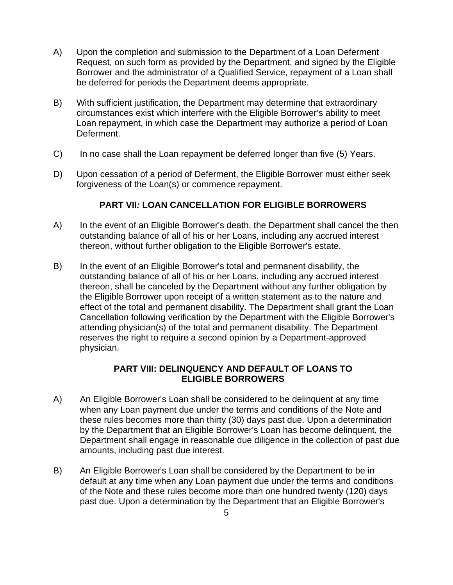- A) Upon the completion and submission to the Department of a Loan Deferment Request, on such form as provided by the Department, and signed by the Eligible Borrower and the administrator of a Qualified Service, repayment of a Loan shall be deferred for periods the Department deems appropriate.
- B) With sufficient justification, the Department may determine that extraordinary circumstances exist which interfere with the Eligible Borrower's ability to meet Loan repayment, in which case the Department may authorize a period of Loan Deferment.
- C) In no case shall the Loan repayment be deferred longer than five (5) Years.
- D) Upon cessation of a period of Deferment, the Eligible Borrower must either seek forgiveness of the Loan(s) or commence repayment.

## **PART VII***:* **LOAN CANCELLATION FOR ELIGIBLE BORROWERS**

- A) In the event of an Eligible Borrower's death, the Department shall cancel the then outstanding balance of all of his or her Loans, including any accrued interest thereon, without further obligation to the Eligible Borrower's estate.
- B) In the event of an Eligible Borrower's total and permanent disability, the outstanding balance of all of his or her Loans, including any accrued interest thereon, shall be canceled by the Department without any further obligation by the Eligible Borrower upon receipt of a written statement as to the nature and effect of the total and permanent disability. The Department shall grant the Loan Cancellation following verification by the Department with the Eligible Borrower's attending physician(s) of the total and permanent disability. The Department reserves the right to require a second opinion by a Department-approved physician.

## **PART VIII: DELINQUENCY AND DEFAULT OF LOANS TO ELIGIBLE BORROWERS**

- A) An Eligible Borrower's Loan shall be considered to be delinquent at any time when any Loan payment due under the terms and conditions of the Note and these rules becomes more than thirty (30) days past due. Upon a determination by the Department that an Eligible Borrower's Loan has become delinquent, the Department shall engage in reasonable due diligence in the collection of past due amounts, including past due interest.
- B) An Eligible Borrower's Loan shall be considered by the Department to be in default at any time when any Loan payment due under the terms and conditions of the Note and these rules become more than one hundred twenty (120) days past due. Upon a determination by the Department that an Eligible Borrower's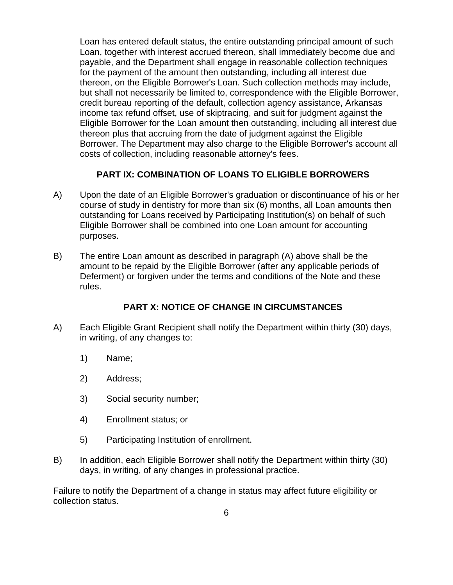Loan has entered default status, the entire outstanding principal amount of such Loan, together with interest accrued thereon, shall immediately become due and payable, and the Department shall engage in reasonable collection techniques for the payment of the amount then outstanding, including all interest due thereon, on the Eligible Borrower's Loan. Such collection methods may include, but shall not necessarily be limited to, correspondence with the Eligible Borrower, credit bureau reporting of the default, collection agency assistance, Arkansas income tax refund offset, use of skiptracing, and suit for judgment against the Eligible Borrower for the Loan amount then outstanding, including all interest due thereon plus that accruing from the date of judgment against the Eligible Borrower. The Department may also charge to the Eligible Borrower's account all costs of collection, including reasonable attorney's fees.

### **PART IX: COMBINATION OF LOANS TO ELIGIBLE BORROWERS**

- A) Upon the date of an Eligible Borrower's graduation or discontinuance of his or her course of study in dentistry for more than six (6) months, all Loan amounts then outstanding for Loans received by Participating Institution(s) on behalf of such Eligible Borrower shall be combined into one Loan amount for accounting purposes.
- B) The entire Loan amount as described in paragraph (A) above shall be the amount to be repaid by the Eligible Borrower (after any applicable periods of Deferment) or forgiven under the terms and conditions of the Note and these rules.

### **PART X: NOTICE OF CHANGE IN CIRCUMSTANCES**

- A) Each Eligible Grant Recipient shall notify the Department within thirty (30) days, in writing, of any changes to:
	- 1) Name;
	- 2) Address;
	- 3) Social security number;
	- 4) Enrollment status; or
	- 5) Participating Institution of enrollment.
- B) In addition, each Eligible Borrower shall notify the Department within thirty (30) days, in writing, of any changes in professional practice.

Failure to notify the Department of a change in status may affect future eligibility or collection status.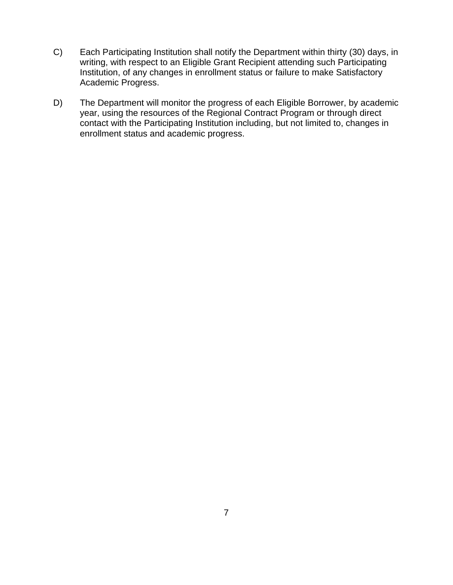- C) Each Participating Institution shall notify the Department within thirty (30) days, in writing, with respect to an Eligible Grant Recipient attending such Participating Institution, of any changes in enrollment status or failure to make Satisfactory Academic Progress.
- D) The Department will monitor the progress of each Eligible Borrower, by academic year, using the resources of the Regional Contract Program or through direct contact with the Participating Institution including, but not limited to, changes in enrollment status and academic progress.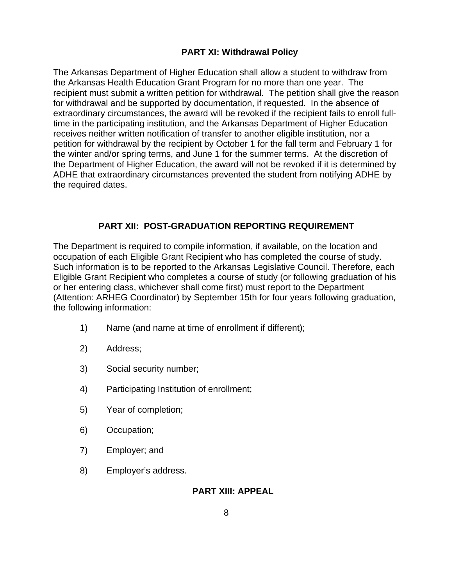## **PART XI: Withdrawal Policy**

The Arkansas Department of Higher Education shall allow a student to withdraw from the Arkansas Health Education Grant Program for no more than one year. The recipient must submit a written petition for withdrawal. The petition shall give the reason for withdrawal and be supported by documentation, if requested. In the absence of extraordinary circumstances, the award will be revoked if the recipient fails to enroll fulltime in the participating institution, and the Arkansas Department of Higher Education receives neither written notification of transfer to another eligible institution, nor a petition for withdrawal by the recipient by October 1 for the fall term and February 1 for the winter and/or spring terms, and June 1 for the summer terms. At the discretion of the Department of Higher Education, the award will not be revoked if it is determined by ADHE that extraordinary circumstances prevented the student from notifying ADHE by the required dates.

## **PART XII: POST-GRADUATION REPORTING REQUIREMENT**

The Department is required to compile information, if available, on the location and occupation of each Eligible Grant Recipient who has completed the course of study. Such information is to be reported to the Arkansas Legislative Council. Therefore, each Eligible Grant Recipient who completes a course of study (or following graduation of his or her entering class, whichever shall come first) must report to the Department (Attention: ARHEG Coordinator) by September 15th for four years following graduation, the following information:

- 1) Name (and name at time of enrollment if different);
- 2) Address;
- 3) Social security number;
- 4) Participating Institution of enrollment;
- 5) Year of completion;
- 6) Occupation;
- 7) Employer; and
- 8) Employer's address.

### **PART XIII: APPEAL**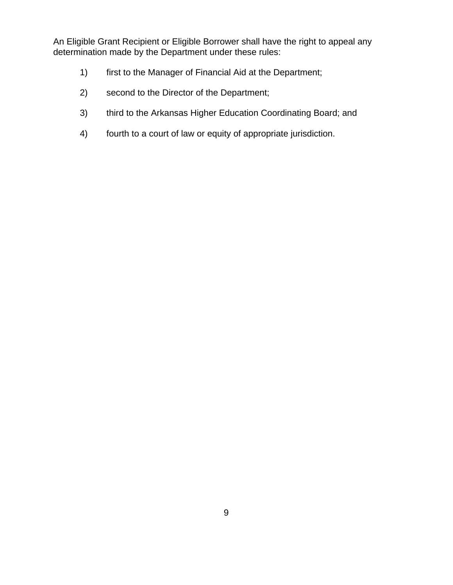An Eligible Grant Recipient or Eligible Borrower shall have the right to appeal any determination made by the Department under these rules:

- 1) first to the Manager of Financial Aid at the Department;
- 2) second to the Director of the Department;
- 3) third to the Arkansas Higher Education Coordinating Board; and
- 4) fourth to a court of law or equity of appropriate jurisdiction.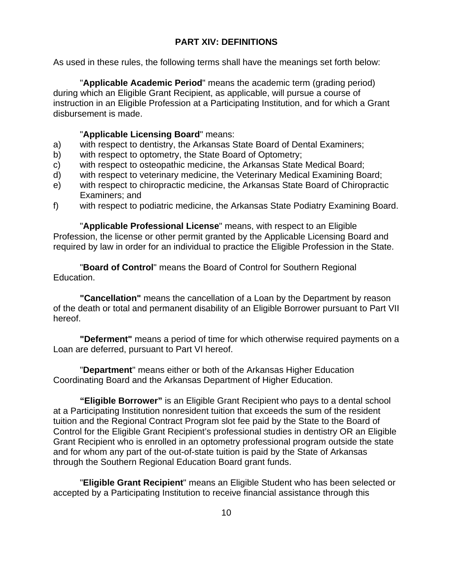## **PART XIV: DEFINITIONS**

As used in these rules, the following terms shall have the meanings set forth below:

"**Applicable Academic Period**" means the academic term (grading period) during which an Eligible Grant Recipient, as applicable, will pursue a course of instruction in an Eligible Profession at a Participating Institution, and for which a Grant disbursement is made.

#### "**Applicable Licensing Board**" means:

- a) with respect to dentistry, the Arkansas State Board of Dental Examiners;
- b) with respect to optometry, the State Board of Optometry;
- c) with respect to osteopathic medicine, the Arkansas State Medical Board;
- d) with respect to veterinary medicine, the Veterinary Medical Examining Board;
- e) with respect to chiropractic medicine, the Arkansas State Board of Chiropractic Examiners; and
- f) with respect to podiatric medicine, the Arkansas State Podiatry Examining Board.

"**Applicable Professional License**" means, with respect to an Eligible Profession, the license or other permit granted by the Applicable Licensing Board and required by law in order for an individual to practice the Eligible Profession in the State.

"**Board of Control**" means the Board of Control for Southern Regional Education.

**"Cancellation"** means the cancellation of a Loan by the Department by reason of the death or total and permanent disability of an Eligible Borrower pursuant to Part VII hereof.

**"Deferment"** means a period of time for which otherwise required payments on a Loan are deferred, pursuant to Part VI hereof.

"**Department**" means either or both of the Arkansas Higher Education Coordinating Board and the Arkansas Department of Higher Education.

**"Eligible Borrower"** is an Eligible Grant Recipient who pays to a dental school at a Participating Institution nonresident tuition that exceeds the sum of the resident tuition and the Regional Contract Program slot fee paid by the State to the Board of Control for the Eligible Grant Recipient's professional studies in dentistry OR an Eligible Grant Recipient who is enrolled in an optometry professional program outside the state and for whom any part of the out-of-state tuition is paid by the State of Arkansas through the Southern Regional Education Board grant funds.

"**Eligible Grant Recipient**" means an Eligible Student who has been selected or accepted by a Participating Institution to receive financial assistance through this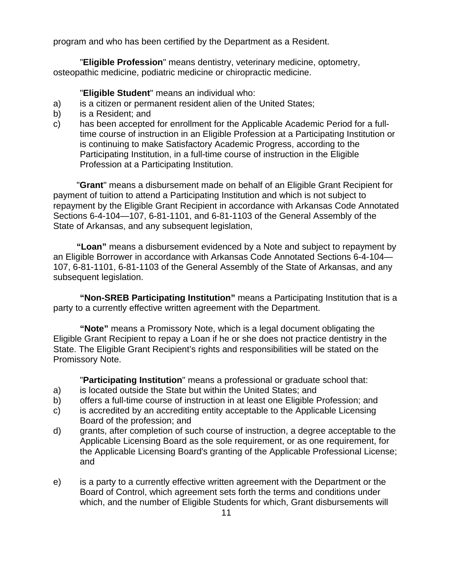program and who has been certified by the Department as a Resident.

"**Eligible Profession**" means dentistry, veterinary medicine, optometry, osteopathic medicine, podiatric medicine or chiropractic medicine.

#### "**Eligible Student**" means an individual who:

- a) is a citizen or permanent resident alien of the United States;
- b) is a Resident; and
- c) has been accepted for enrollment for the Applicable Academic Period for a fulltime course of instruction in an Eligible Profession at a Participating Institution or is continuing to make Satisfactory Academic Progress, according to the Participating Institution, in a full-time course of instruction in the Eligible Profession at a Participating Institution.

"**Grant**" means a disbursement made on behalf of an Eligible Grant Recipient for payment of tuition to attend a Participating Institution and which is not subject to repayment by the Eligible Grant Recipient in accordance with Arkansas Code Annotated Sections 6-4-104—107, 6-81-1101, and 6-81-1103 of the General Assembly of the State of Arkansas, and any subsequent legislation,

**"Loan"** means a disbursement evidenced by a Note and subject to repayment by an Eligible Borrower in accordance with Arkansas Code Annotated Sections 6-4-104— 107, 6-81-1101, 6-81-1103 of the General Assembly of the State of Arkansas, and any subsequent legislation.

**"Non-SREB Participating Institution"** means a Participating Institution that is a party to a currently effective written agreement with the Department.

**"Note"** means a Promissory Note, which is a legal document obligating the Eligible Grant Recipient to repay a Loan if he or she does not practice dentistry in the State. The Eligible Grant Recipient's rights and responsibilities will be stated on the Promissory Note.

"**Participating Institution**" means a professional or graduate school that:

- a) is located outside the State but within the United States; and
- b) offers a full-time course of instruction in at least one Eligible Profession; and
- c) is accredited by an accrediting entity acceptable to the Applicable Licensing Board of the profession; and
- d) grants, after completion of such course of instruction, a degree acceptable to the Applicable Licensing Board as the sole requirement, or as one requirement, for the Applicable Licensing Board's granting of the Applicable Professional License; and
- e) is a party to a currently effective written agreement with the Department or the Board of Control, which agreement sets forth the terms and conditions under which, and the number of Eligible Students for which, Grant disbursements will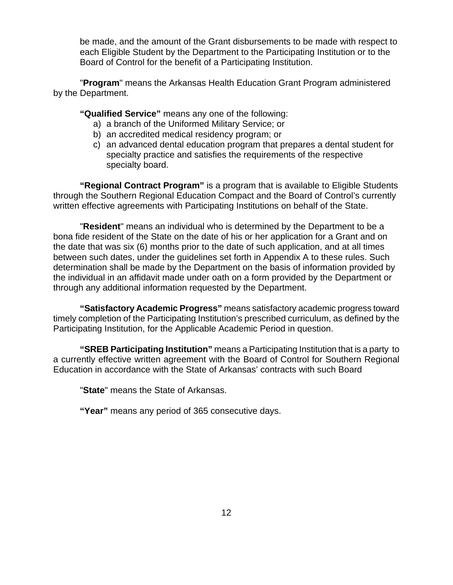be made, and the amount of the Grant disbursements to be made with respect to each Eligible Student by the Department to the Participating Institution or to the Board of Control for the benefit of a Participating Institution.

"**Program**" means the Arkansas Health Education Grant Program administered by the Department.

**"Qualified Service"** means any one of the following:

- a) a branch of the Uniformed Military Service; or
- b) an accredited medical residency program; or
- c) an advanced dental education program that prepares a dental student for specialty practice and satisfies the requirements of the respective specialty board.

 **"Regional Contract Program"** is a program that is available to Eligible Students through the Southern Regional Education Compact and the Board of Control's currently written effective agreements with Participating Institutions on behalf of the State.

"**Resident**" means an individual who is determined by the Department to be a bona fide resident of the State on the date of his or her application for a Grant and on the date that was six (6) months prior to the date of such application, and at all times between such dates, under the guidelines set forth in Appendix A to these rules. Such determination shall be made by the Department on the basis of information provided by the individual in an affidavit made under oath on a form provided by the Department or through any additional information requested by the Department.

 **"Satisfactory Academic Progress"** means satisfactory academic progress toward timely completion of the Participating Institution's prescribed curriculum, as defined by the Participating Institution, for the Applicable Academic Period in question.

**"SREB Participating Institution"** means a Participating Institution that is a party to a currently effective written agreement with the Board of Control for Southern Regional Education in accordance with the State of Arkansas' contracts with such Board

"**State**" means the State of Arkansas.

**"Year"** means any period of 365 consecutive days.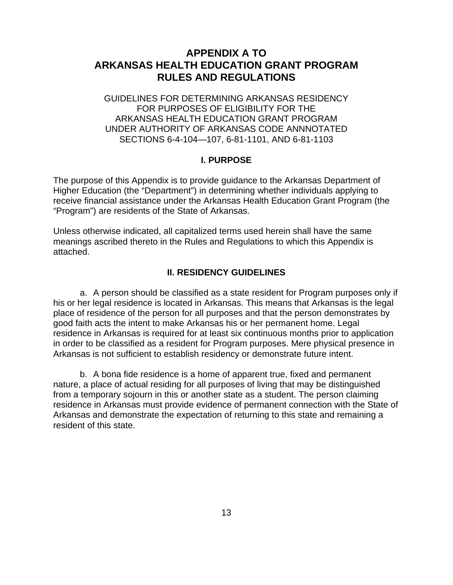# **APPENDIX A TO ARKANSAS HEALTH EDUCATION GRANT PROGRAM RULES AND REGULATIONS**

GUIDELINES FOR DETERMINING ARKANSAS RESIDENCY FOR PURPOSES OF ELIGIBILITY FOR THE ARKANSAS HEALTH EDUCATION GRANT PROGRAM UNDER AUTHORITY OF ARKANSAS CODE ANNNOTATED SECTIONS 6-4-104—107, 6-81-1101, AND 6-81-1103

#### **I. PURPOSE**

The purpose of this Appendix is to provide guidance to the Arkansas Department of Higher Education (the "Department") in determining whether individuals applying to receive financial assistance under the Arkansas Health Education Grant Program (the "Program") are residents of the State of Arkansas.

Unless otherwise indicated, all capitalized terms used herein shall have the same meanings ascribed thereto in the Rules and Regulations to which this Appendix is attached.

#### **II. RESIDENCY GUIDELINES**

a. A person should be classified as a state resident for Program purposes only if his or her legal residence is located in Arkansas. This means that Arkansas is the legal place of residence of the person for all purposes and that the person demonstrates by good faith acts the intent to make Arkansas his or her permanent home. Legal residence in Arkansas is required for at least six continuous months prior to application in order to be classified as a resident for Program purposes. Mere physical presence in Arkansas is not sufficient to establish residency or demonstrate future intent.

b. A bona fide residence is a home of apparent true, fixed and permanent nature, a place of actual residing for all purposes of living that may be distinguished from a temporary sojourn in this or another state as a student. The person claiming residence in Arkansas must provide evidence of permanent connection with the State of Arkansas and demonstrate the expectation of returning to this state and remaining a resident of this state.